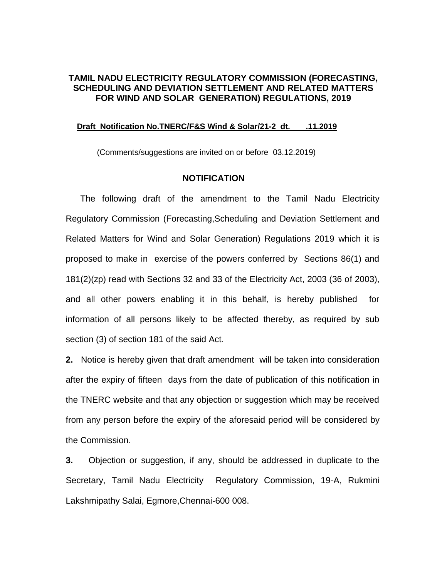### **TAMIL NADU ELECTRICITY REGULATORY COMMISSION (FORECASTING, SCHEDULING AND DEVIATION SETTLEMENT AND RELATED MATTERS FOR WIND AND SOLAR GENERATION) REGULATIONS, 2019**

#### **Draft Notification No.TNERC/F&S Wind & Solar/21-2 dt. .11.2019**

(Comments/suggestions are invited on or before 03.12.2019)

### **NOTIFICATION**

 The following draft of the amendment to the Tamil Nadu Electricity Regulatory Commission (Forecasting,Scheduling and Deviation Settlement and Related Matters for Wind and Solar Generation) Regulations 2019 which it is proposed to make in exercise of the powers conferred by Sections 86(1) and 181(2)(zp) read with Sections 32 and 33 of the Electricity Act, 2003 (36 of 2003), and all other powers enabling it in this behalf, is hereby published for information of all persons likely to be affected thereby, as required by sub section (3) of section 181 of the said Act.

**2.** Notice is hereby given that draft amendment will be taken into consideration after the expiry of fifteen days from the date of publication of this notification in the TNERC website and that any objection or suggestion which may be received from any person before the expiry of the aforesaid period will be considered by the Commission.

**3.** Objection or suggestion, if any, should be addressed in duplicate to the Secretary, Tamil Nadu Electricity Regulatory Commission, 19-A, Rukmini Lakshmipathy Salai, Egmore,Chennai-600 008.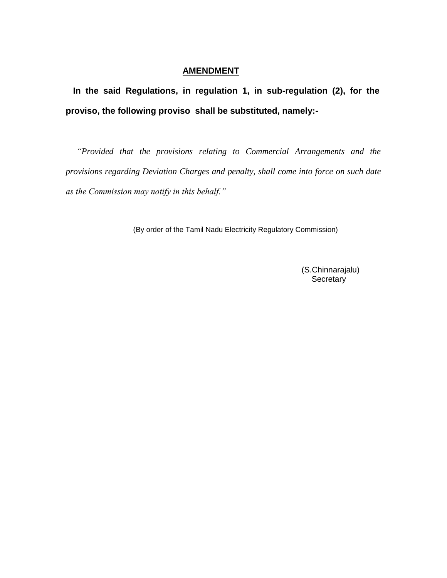## **AMENDMENT**

 **In the said Regulations, in regulation 1, in sub-regulation (2), for the proviso, the following proviso shall be substituted, namely:-**

 *"Provided that the provisions relating to Commercial Arrangements and the provisions regarding Deviation Charges and penalty, shall come into force on such date as the Commission may notify in this behalf."*

(By order of the Tamil Nadu Electricity Regulatory Commission)

 (S.Chinnarajalu) **Secretary**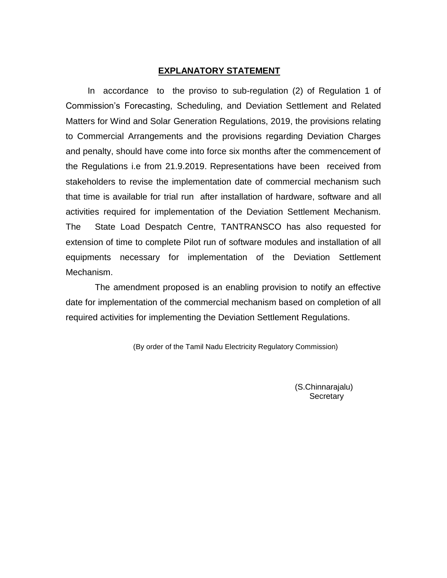#### **EXPLANATORY STATEMENT**

 In accordance to the proviso to sub-regulation (2) of Regulation 1 of Commission's Forecasting, Scheduling, and Deviation Settlement and Related Matters for Wind and Solar Generation Regulations, 2019, the provisions relating to Commercial Arrangements and the provisions regarding Deviation Charges and penalty, should have come into force six months after the commencement of the Regulations i.e from 21.9.2019. Representations have been received from stakeholders to revise the implementation date of commercial mechanism such that time is available for trial run after installation of hardware, software and all activities required for implementation of the Deviation Settlement Mechanism. The State Load Despatch Centre, TANTRANSCO has also requested for extension of time to complete Pilot run of software modules and installation of all equipments necessary for implementation of the Deviation Settlement Mechanism.

 The amendment proposed is an enabling provision to notify an effective date for implementation of the commercial mechanism based on completion of all required activities for implementing the Deviation Settlement Regulations.

(By order of the Tamil Nadu Electricity Regulatory Commission)

 (S.Chinnarajalu) **Secretary**